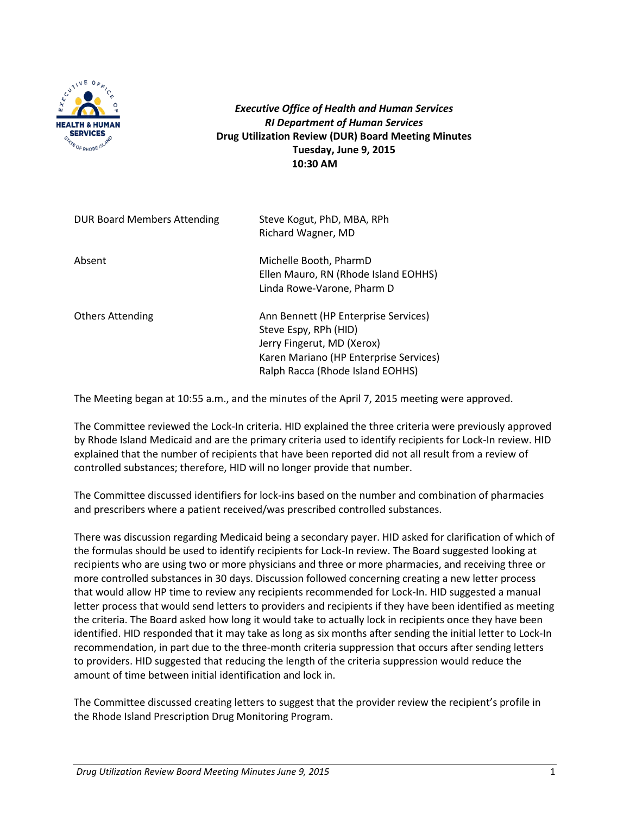

*Executive Office of Health and Human Services RI Department of Human Services* **Drug Utilization Review (DUR) Board Meeting Minutes Tuesday, June 9, 2015 10:30 AM**

| <b>DUR Board Members Attending</b> | Steve Kogut, PhD, MBA, RPh<br>Richard Wagner, MD                                                                                                                          |
|------------------------------------|---------------------------------------------------------------------------------------------------------------------------------------------------------------------------|
| Absent                             | Michelle Booth, PharmD<br>Ellen Mauro, RN (Rhode Island EOHHS)<br>Linda Rowe-Varone, Pharm D                                                                              |
| <b>Others Attending</b>            | Ann Bennett (HP Enterprise Services)<br>Steve Espy, RPh (HID)<br>Jerry Fingerut, MD (Xerox)<br>Karen Mariano (HP Enterprise Services)<br>Ralph Racca (Rhode Island EOHHS) |

The Meeting began at 10:55 a.m., and the minutes of the April 7, 2015 meeting were approved.

The Committee reviewed the Lock-In criteria. HID explained the three criteria were previously approved by Rhode Island Medicaid and are the primary criteria used to identify recipients for Lock-In review. HID explained that the number of recipients that have been reported did not all result from a review of controlled substances; therefore, HID will no longer provide that number.

The Committee discussed identifiers for lock-ins based on the number and combination of pharmacies and prescribers where a patient received/was prescribed controlled substances.

There was discussion regarding Medicaid being a secondary payer. HID asked for clarification of which of the formulas should be used to identify recipients for Lock-In review. The Board suggested looking at recipients who are using two or more physicians and three or more pharmacies, and receiving three or more controlled substances in 30 days. Discussion followed concerning creating a new letter process that would allow HP time to review any recipients recommended for Lock-In. HID suggested a manual letter process that would send letters to providers and recipients if they have been identified as meeting the criteria. The Board asked how long it would take to actually lock in recipients once they have been identified. HID responded that it may take as long as six months after sending the initial letter to Lock-In recommendation, in part due to the three-month criteria suppression that occurs after sending letters to providers. HID suggested that reducing the length of the criteria suppression would reduce the amount of time between initial identification and lock in.

The Committee discussed creating letters to suggest that the provider review the recipient's profile in the Rhode Island Prescription Drug Monitoring Program.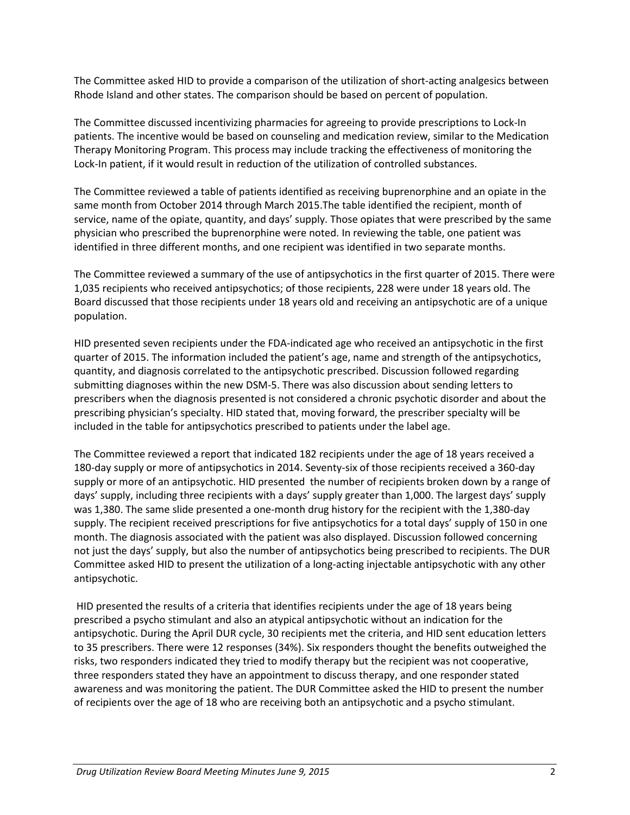The Committee asked HID to provide a comparison of the utilization of short-acting analgesics between Rhode Island and other states. The comparison should be based on percent of population.

The Committee discussed incentivizing pharmacies for agreeing to provide prescriptions to Lock-In patients. The incentive would be based on counseling and medication review, similar to the Medication Therapy Monitoring Program. This process may include tracking the effectiveness of monitoring the Lock-In patient, if it would result in reduction of the utilization of controlled substances.

The Committee reviewed a table of patients identified as receiving buprenorphine and an opiate in the same month from October 2014 through March 2015.The table identified the recipient, month of service, name of the opiate, quantity, and days' supply. Those opiates that were prescribed by the same physician who prescribed the buprenorphine were noted. In reviewing the table, one patient was identified in three different months, and one recipient was identified in two separate months.

The Committee reviewed a summary of the use of antipsychotics in the first quarter of 2015. There were 1,035 recipients who received antipsychotics; of those recipients, 228 were under 18 years old. The Board discussed that those recipients under 18 years old and receiving an antipsychotic are of a unique population.

HID presented seven recipients under the FDA-indicated age who received an antipsychotic in the first quarter of 2015. The information included the patient's age, name and strength of the antipsychotics, quantity, and diagnosis correlated to the antipsychotic prescribed. Discussion followed regarding submitting diagnoses within the new DSM-5. There was also discussion about sending letters to prescribers when the diagnosis presented is not considered a chronic psychotic disorder and about the prescribing physician's specialty. HID stated that, moving forward, the prescriber specialty will be included in the table for antipsychotics prescribed to patients under the label age.

The Committee reviewed a report that indicated 182 recipients under the age of 18 years received a 180-day supply or more of antipsychotics in 2014. Seventy-six of those recipients received a 360-day supply or more of an antipsychotic. HID presented the number of recipients broken down by a range of days' supply, including three recipients with a days' supply greater than 1,000. The largest days' supply was 1,380. The same slide presented a one-month drug history for the recipient with the 1,380-day supply. The recipient received prescriptions for five antipsychotics for a total days' supply of 150 in one month. The diagnosis associated with the patient was also displayed. Discussion followed concerning not just the days' supply, but also the number of antipsychotics being prescribed to recipients. The DUR Committee asked HID to present the utilization of a long-acting injectable antipsychotic with any other antipsychotic.

HID presented the results of a criteria that identifies recipients under the age of 18 years being prescribed a psycho stimulant and also an atypical antipsychotic without an indication for the antipsychotic. During the April DUR cycle, 30 recipients met the criteria, and HID sent education letters to 35 prescribers. There were 12 responses (34%). Six responders thought the benefits outweighed the risks, two responders indicated they tried to modify therapy but the recipient was not cooperative, three responders stated they have an appointment to discuss therapy, and one responder stated awareness and was monitoring the patient. The DUR Committee asked the HID to present the number of recipients over the age of 18 who are receiving both an antipsychotic and a psycho stimulant.